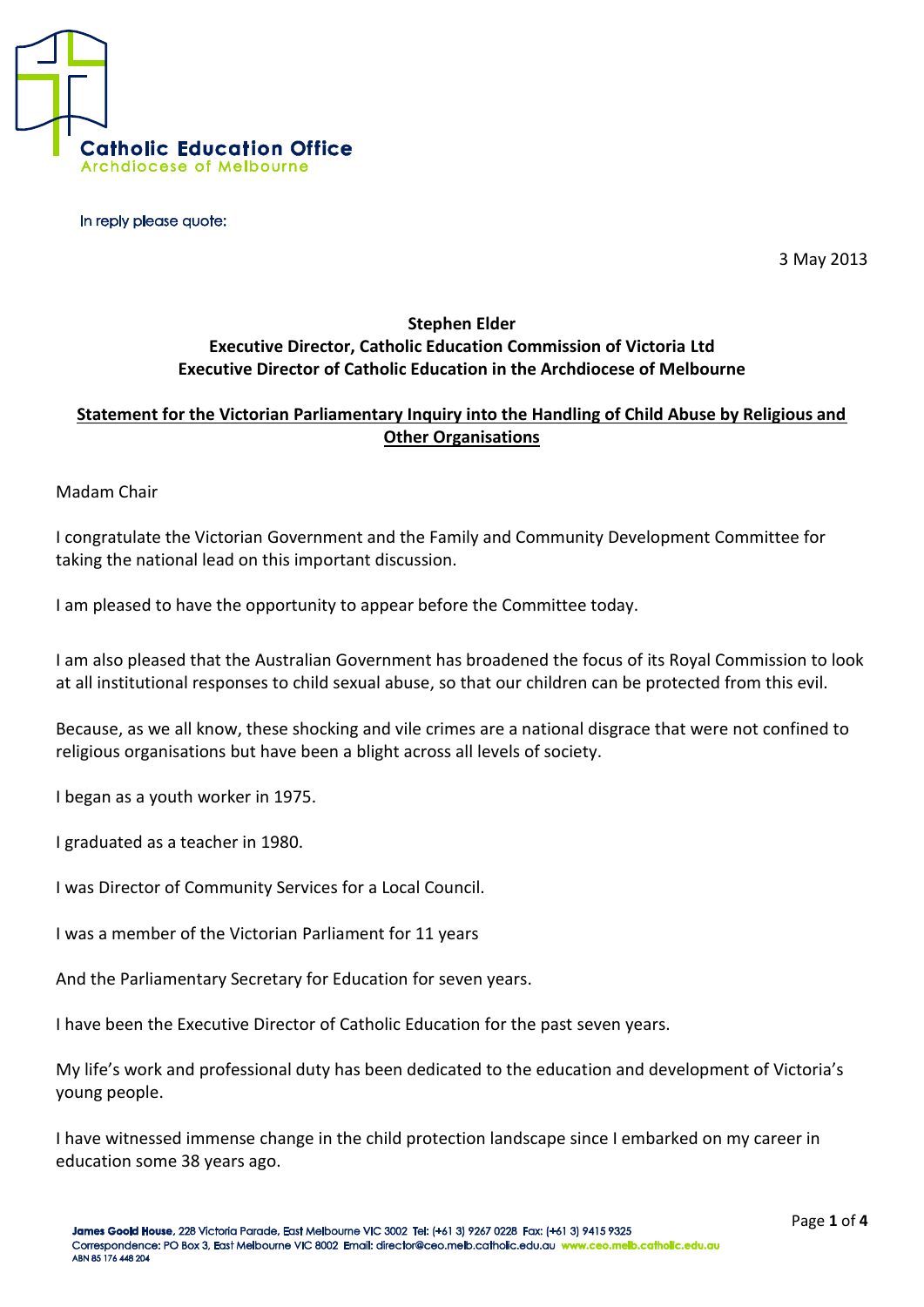

In reply please quote:

3 May 2013

## **Stephen Elder Executive Director, Catholic Education Commission of Victoria Ltd Executive Director of Catholic Education in the Archdiocese of Melbourne**

## **Statement for the Victorian Parliamentary Inquiry into the Handling of Child Abuse by Religious and Other Organisations**

Madam Chair

I congratulate the Victorian Government and the Family and Community Development Committee for taking the national lead on this important discussion.

I am pleased to have the opportunity to appear before the Committee today.

I am also pleased that the Australian Government has broadened the focus of its Royal Commission to look at all institutional responses to child sexual abuse, so that our children can be protected from this evil.

Because, as we all know, these shocking and vile crimes are a national disgrace that were not confined to religious organisations but have been a blight across all levels of society.

I began as a youth worker in 1975.

I graduated as a teacher in 1980.

I was Director of Community Services for a Local Council.

I was a member of the Victorian Parliament for 11 years

And the Parliamentary Secretary for Education for seven years.

I have been the Executive Director of Catholic Education for the past seven years.

My life's work and professional duty has been dedicated to the education and development of Victoria's young people.

I have witnessed immense change in the child protection landscape since I embarked on my career in education some 38 years ago.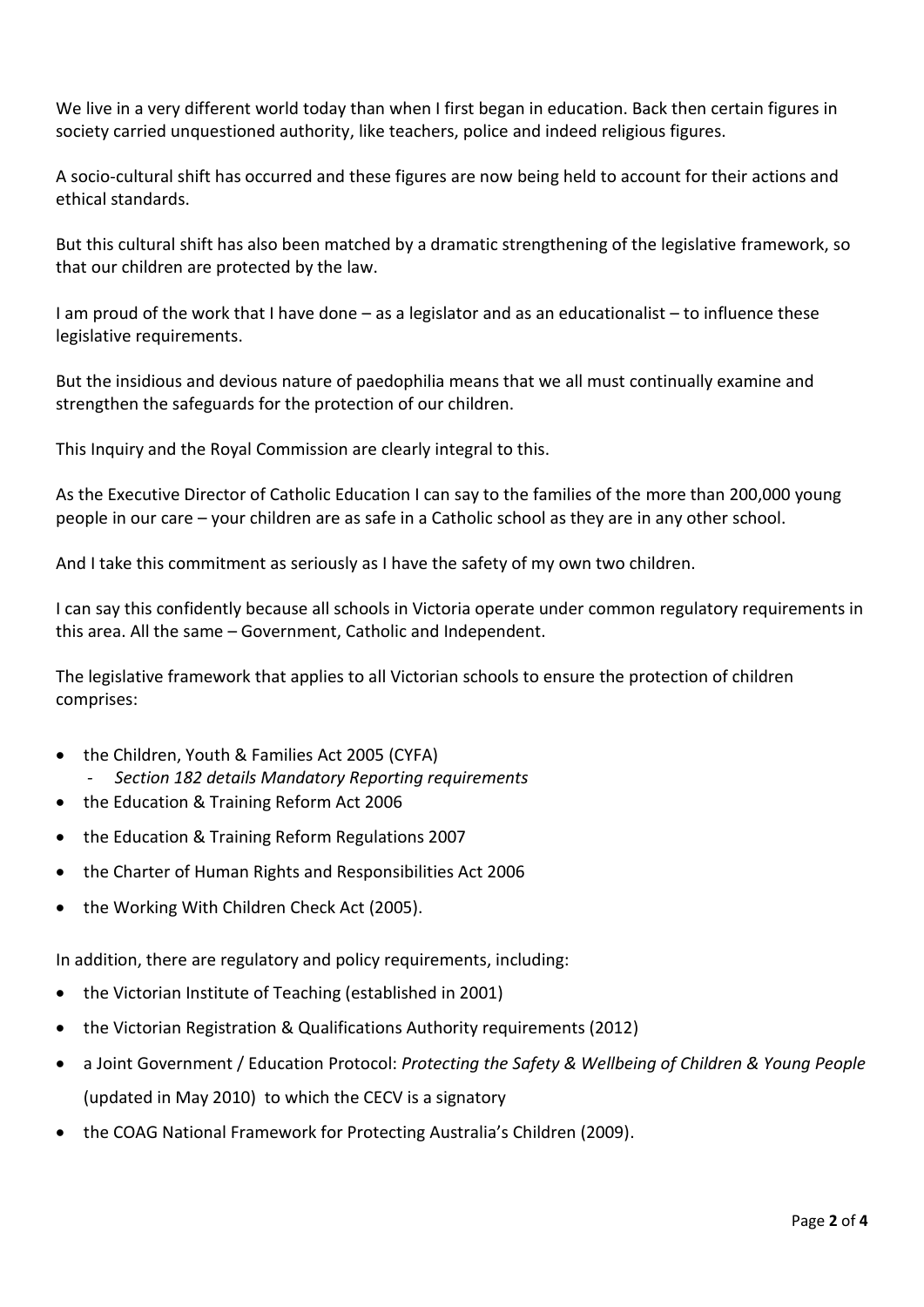We live in a very different world today than when I first began in education. Back then certain figures in society carried unquestioned authority, like teachers, police and indeed religious figures.

A socio-cultural shift has occurred and these figures are now being held to account for their actions and ethical standards.

But this cultural shift has also been matched by a dramatic strengthening of the legislative framework, so that our children are protected by the law.

I am proud of the work that I have done – as a legislator and as an educationalist – to influence these legislative requirements.

But the insidious and devious nature of paedophilia means that we all must continually examine and strengthen the safeguards for the protection of our children.

This Inquiry and the Royal Commission are clearly integral to this.

As the Executive Director of Catholic Education I can say to the families of the more than 200,000 young people in our care – your children are as safe in a Catholic school as they are in any other school.

And I take this commitment as seriously as I have the safety of my own two children.

I can say this confidently because all schools in Victoria operate under common regulatory requirements in this area. All the same – Government, Catholic and Independent.

The legislative framework that applies to all Victorian schools to ensure the protection of children comprises:

- the Children, Youth & Families Act 2005 (CYFA)
	- *- Section 182 details Mandatory Reporting requirements*
- the Education & Training Reform Act 2006
- the Education & Training Reform Regulations 2007
- the Charter of Human Rights and Responsibilities Act 2006
- the Working With Children Check Act (2005).

In addition, there are regulatory and policy requirements, including:

- the Victorian Institute of Teaching (established in 2001)
- the Victorian Registration & Qualifications Authority requirements (2012)
- a Joint Government / Education Protocol: *Protecting the Safety & Wellbeing of Children & Young People*  (updated in May 2010) to which the CECV is a signatory
- the COAG National Framework for Protecting Australia's Children (2009).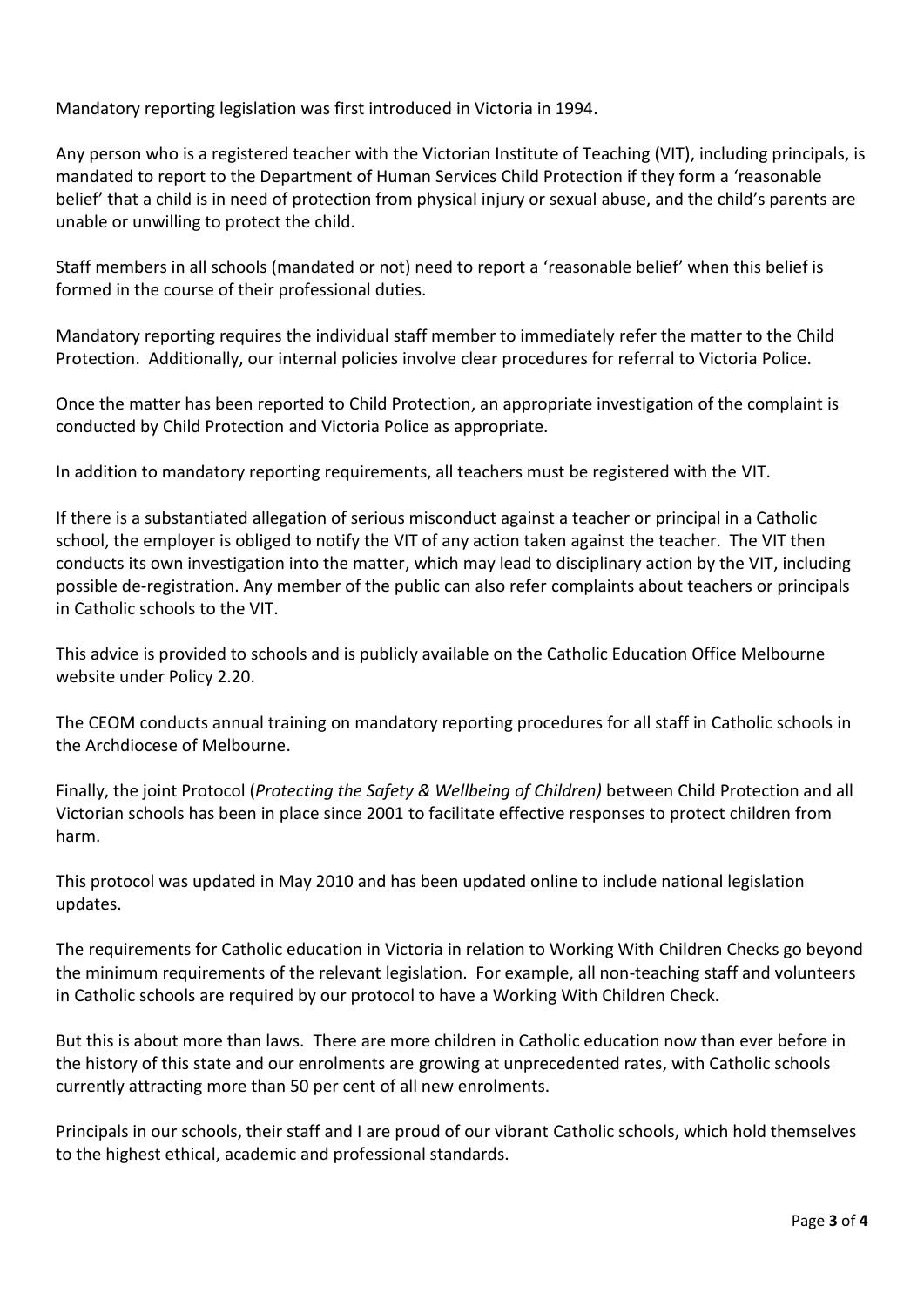Mandatory reporting legislation was first introduced in Victoria in 1994.

Any person who is a registered teacher with the Victorian Institute of Teaching (VIT), including principals, is mandated to report to the Department of Human Services Child Protection if they form a 'reasonable belief' that a child is in need of protection from physical injury or sexual abuse, and the child's parents are unable or unwilling to protect the child.

Staff members in all schools (mandated or not) need to report a 'reasonable belief' when this belief is formed in the course of their professional duties.

Mandatory reporting requires the individual staff member to immediately refer the matter to the Child Protection. Additionally, our internal policies involve clear procedures for referral to Victoria Police.

Once the matter has been reported to Child Protection, an appropriate investigation of the complaint is conducted by Child Protection and Victoria Police as appropriate.

In addition to mandatory reporting requirements, all teachers must be registered with the VIT.

If there is a substantiated allegation of serious misconduct against a teacher or principal in a Catholic school, the employer is obliged to notify the VIT of any action taken against the teacher. The VIT then conducts its own investigation into the matter, which may lead to disciplinary action by the VIT, including possible de-registration. Any member of the public can also refer complaints about teachers or principals in Catholic schools to the VIT.

This advice is provided to schools and is publicly available on the Catholic Education Office Melbourne website under Policy 2.20.

The CEOM conducts annual training on mandatory reporting procedures for all staff in Catholic schools in the Archdiocese of Melbourne.

Finally, the joint Protocol (*Protecting the Safety & Wellbeing of Children)* between Child Protection and all Victorian schools has been in place since 2001 to facilitate effective responses to protect children from harm.

This protocol was updated in May 2010 and has been updated online to include national legislation updates.

The requirements for Catholic education in Victoria in relation to Working With Children Checks go beyond the minimum requirements of the relevant legislation. For example, all non-teaching staff and volunteers in Catholic schools are required by our protocol to have a Working With Children Check.

But this is about more than laws. There are more children in Catholic education now than ever before in the history of this state and our enrolments are growing at unprecedented rates, with Catholic schools currently attracting more than 50 per cent of all new enrolments.

Principals in our schools, their staff and I are proud of our vibrant Catholic schools, which hold themselves to the highest ethical, academic and professional standards.